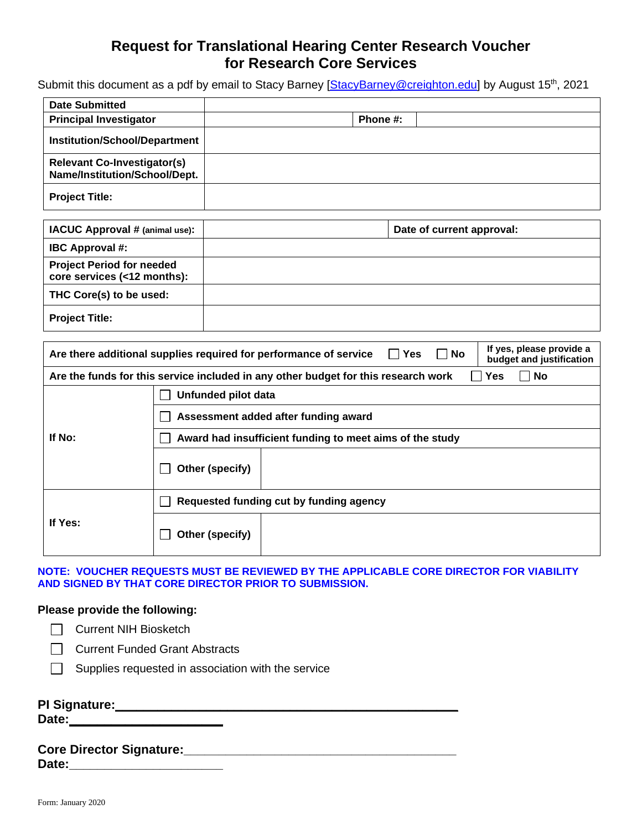## **Request for Translational Hearing Center Research Voucher for Research Core Services**

Submit this document as a pdf by email to Stacy Barney [\[StacyBarney@creighton.edu\]](mailto:StacyBarney@creighton.edu) by August 15<sup>th</sup>, 2021

| <b>Date Submitted</b>                                               |          |
|---------------------------------------------------------------------|----------|
| <b>Principal Investigator</b>                                       | Phone #: |
| <b>Institution/School/Department</b>                                |          |
| <b>Relevant Co-Investigator(s)</b><br>Name/Institution/School/Dept. |          |
| <b>Project Title:</b>                                               |          |

| <b>IACUC Approval # (animal use):</b>                           | Date of current approval: |
|-----------------------------------------------------------------|---------------------------|
| <b>IBC Approval #:</b>                                          |                           |
| <b>Project Period for needed</b><br>core services (<12 months): |                           |
| THC Core(s) to be used:                                         |                           |
| <b>Project Title:</b>                                           |                           |

| If yes, please provide a<br>$\Box$ No<br>Are there additional supplies required for performance of service<br>$\Box$ Yes<br>budget and justification |                                                          |  |  |  |  |
|------------------------------------------------------------------------------------------------------------------------------------------------------|----------------------------------------------------------|--|--|--|--|
| ∣ No<br>Are the funds for this service included in any other budget for this research work<br><b>Yes</b>                                             |                                                          |  |  |  |  |
|                                                                                                                                                      | Unfunded pilot data                                      |  |  |  |  |
| If No:                                                                                                                                               | Assessment added after funding award                     |  |  |  |  |
|                                                                                                                                                      | Award had insufficient funding to meet aims of the study |  |  |  |  |
|                                                                                                                                                      | Other (specify)                                          |  |  |  |  |
| If Yes:                                                                                                                                              | Requested funding cut by funding agency                  |  |  |  |  |
|                                                                                                                                                      | Other (specify)                                          |  |  |  |  |

**NOTE: VOUCHER REQUESTS MUST BE REVIEWED BY THE APPLICABLE CORE DIRECTOR FOR VIABILITY AND SIGNED BY THAT CORE DIRECTOR PRIOR TO SUBMISSION.** 

#### **Please provide the following:**

□ Current NIH Biosketch

□ Current Funded Grant Abstracts

 $\Box$  Supplies requested in association with the service

#### **PI Signature:\_\_\_\_\_\_\_\_\_\_\_\_\_\_\_\_\_\_\_\_\_\_\_\_\_\_\_\_\_\_\_\_\_\_\_\_\_\_\_\_\_\_\_\_\_\_\_\_\_**

**Date:\_\_\_\_\_\_\_\_\_\_\_\_\_\_\_\_\_\_\_\_\_\_**

#### **Core Director Signature:\_\_\_\_\_\_\_\_\_\_\_\_\_\_\_\_\_\_\_\_\_\_\_\_\_\_\_\_\_\_\_\_\_\_\_\_\_\_\_**

**Date:\_\_\_\_\_\_\_\_\_\_\_\_\_\_\_\_\_\_\_\_\_\_**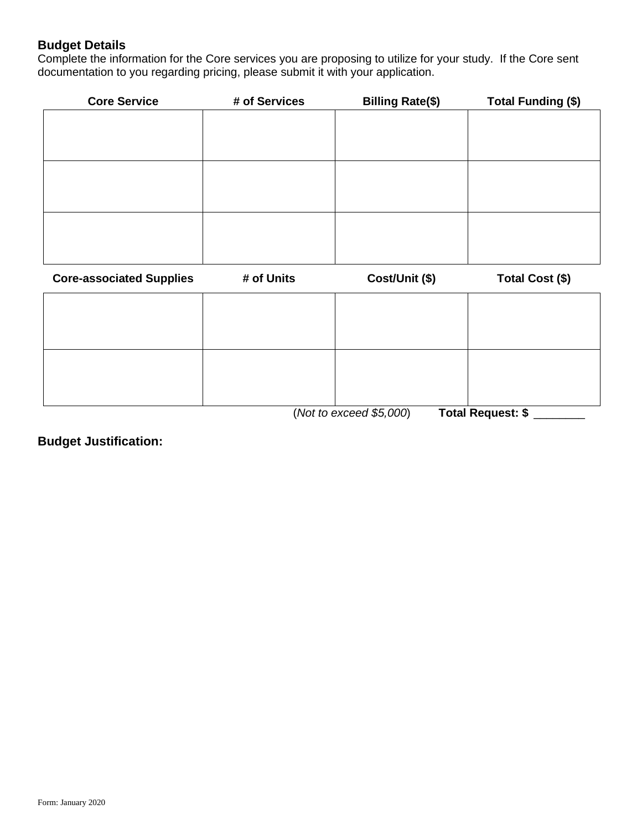### **Budget Details**

Complete the information for the Core services you are proposing to utilize for your study. If the Core sent documentation to you regarding pricing, please submit it with your application.

| <b>Core Service</b> | # of Services | <b>Billing Rate(\$)</b> | <b>Total Funding (\$)</b> |
|---------------------|---------------|-------------------------|---------------------------|
|                     |               |                         |                           |
|                     |               |                         |                           |
|                     |               |                         |                           |
|                     |               |                         |                           |
|                     |               |                         |                           |
|                     |               |                         |                           |
|                     |               |                         |                           |
|                     |               |                         |                           |
|                     |               |                         |                           |

| <b>Core-associated Supplies</b> | # of Units | Cost/Unit (\$)            | Total Cost (\$)                     |
|---------------------------------|------------|---------------------------|-------------------------------------|
|                                 |            |                           |                                     |
|                                 |            |                           |                                     |
|                                 |            |                           |                                     |
|                                 |            |                           |                                     |
|                                 |            | $(Matta)$ area of $(FOM)$ | $T_{\text{shell}}$ Desirest, $\phi$ |

(*Not to exceed \$5,000*) **Total Request: \$** \_\_\_\_\_\_\_\_

**Budget Justification:**